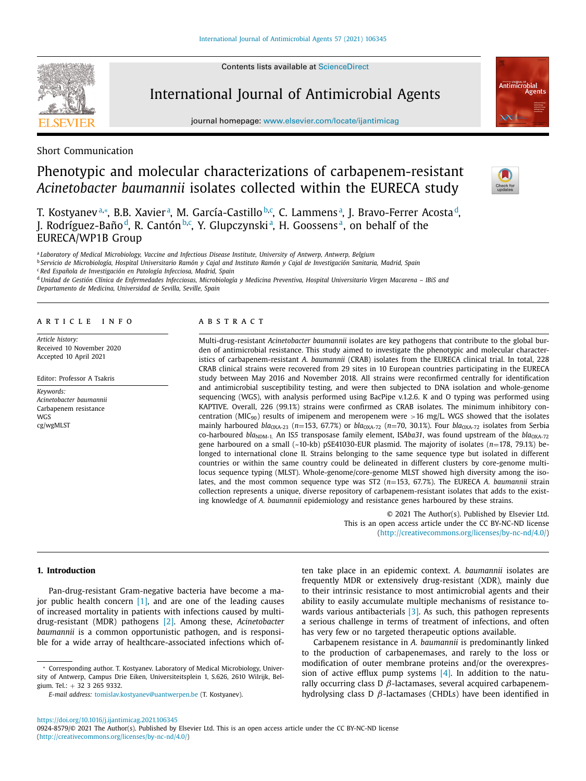Contents lists available at [ScienceDirect](http://www.ScienceDirect.com)



International Journal of Antimicrobial Agents

journal homepage: [www.elsevier.com/locate/ijantimicag](http://www.elsevier.com/locate/ijantimicag)



## Short Communication

# Phenotypic and molecular characterizations of carbapenem-resistant *Acinetobacter baumannii* isolates collected within the EURECA study



T. Kostyanevª,\*, B.B. Xavierª, M. García-Castillo<sup>b,c</sup>, C. Lammensª, J. Bravo-Ferrer Acostaª, J. Rodríguez-Baño<sup>d</sup>, R. Cantón<sup>b,c</sup>, Y. Glupczynskiª, H. Goossensª, on behalf of the EURECA/WP1B Group

<sup>a</sup> *Laboratory of Medical Microbiology, Vaccine and Infectious Disease Institute, University of Antwerp, Antwerp, Belgium*

<sup>b</sup> Servicio de Microbiología, Hospital Universitario Ramón y Cajal and Instituto Ramón y Cajal de Investigación Sanitaria, Madrid, Spain <sup>c</sup> *Red Española de Investigación en Patología Infecciosa, Madrid, Spain*

<sup>d</sup> Unidad de Gestión Clínica de Enfermedades Infecciosas, Microbiología y Medicina Preventiva, Hospital Universitario Virgen Macarena - IBiS and *Departamento de Medicina, Universidad de Sevilla, Seville, Spain*

#### a r t i c l e i n f o

*Article history:* Received 10 November 2020 Accepted 10 April 2021

Editor: Professor A Tsakris

*Keywords: Acinetobacter baumannii* Carbapenem resistance WGS cg/wgMLST

## a b s t r a c t

Multi-drug-resistant *Acinetobacter baumannii* isolates are key pathogens that contribute to the global burden of antimicrobial resistance. This study aimed to investigate the phenotypic and molecular characteristics of carbapenem-resistant *A. baumannii* (CRAB) isolates from the EURECA clinical trial. In total, 228 CRAB clinical strains were recovered from 29 sites in 10 European countries participating in the EURECA study between May 2016 and November 2018. All strains were reconfirmed centrally for identification and antimicrobial susceptibility testing, and were then subjected to DNA isolation and whole-genome sequencing (WGS), with analysis performed using BacPipe v.1.2.6. K and O typing was performed using KAPTIVE. Overall, 226 (99.1%) strains were confirmed as CRAB isolates. The minimum inhibitory concentration ( $MIC_{90}$ ) results of imipenem and meropenem were >16 mg/L. WGS showed that the isolates mainly harboured *bla*<sub>OXA-23</sub> (*n*=153, 67.7%) or *bla*<sub>OXA-72</sub> (*n*=70, 30.1%). Four *bla*<sub>OXA-72</sub> isolates from Serbia co-harboured *bla*<sub>NDM-1</sub>. An IS5 transposase family element, ISAba31, was found upstream of the *bla*<sub>OXA-72</sub> gene harboured on a small (~10-kb) pSE41030-EUR plasmid. The majority of isolates (*n*=178, 79.1%) belonged to international clone II. Strains belonging to the same sequence type but isolated in different countries or within the same country could be delineated in different clusters by core-genome multilocus sequence typing (MLST). Whole-genome/core-genome MLST showed high diversity among the isolates, and the most common sequence type was ST2 (*n*=153, 67.7%). The EURECA *A. baumannii* strain collection represents a unique, diverse repository of carbapenem-resistant isolates that adds to the existing knowledge of *A. baumannii* epidemiology and resistance genes harboured by these strains.

> © 2021 The Author(s). Published by Elsevier Ltd. This is an open access article under the CC BY-NC-ND license [\(http://creativecommons.org/licenses/by-nc-nd/4.0/\)](http://creativecommons.org/licenses/by-nc-nd/4.0/)

## **1. Introduction**

Pan-drug-resistant Gram-negative bacteria have become a major public health concern [\[1\],](#page-4-0) and are one of the leading causes of increased mortality in patients with infections caused by multidrug-resistant (MDR) pathogens [\[2\].](#page-4-0) Among these, *Acinetobacter baumannii* is a common opportunistic pathogen, and is responsible for a wide array of healthcare-associated infections which of-

ten take place in an epidemic context. *A. baumannii* isolates are frequently MDR or extensively drug-resistant (XDR), mainly due to their intrinsic resistance to most antimicrobial agents and their ability to easily accumulate multiple mechanisms of resistance to-wards various antibacterials [\[3\].](#page-4-0) As such, this pathogen represents a serious challenge in terms of treatment of infections, and often has very few or no targeted therapeutic options available.

Carbapenem resistance in *A. baumannii* is predominantly linked to the production of carbapenemases, and rarely to the loss or modification of outer membrane proteins and/or the overexpression of active efflux pump systems  $[4]$ . In addition to the naturally occurring class D  $\beta$ -lactamases, several acquired carbapenemhydrolysing class D  $\beta$ -lactamases (CHDLs) have been identified in

<sup>∗</sup> Corresponding author. T. Kostyanev. Laboratory of Medical Microbiology, University of Antwerp, Campus Drie Eiken, Universiteitsplein 1, S.626, 2610 Wilrijk, Belgium. Tel.: + 32 3 265 9332.

*E-mail address:* [tomislav.kostyanev@uantwerpen.be](mailto:tomislav.kostyanev@uantwerpen.be) (T. Kostyanev).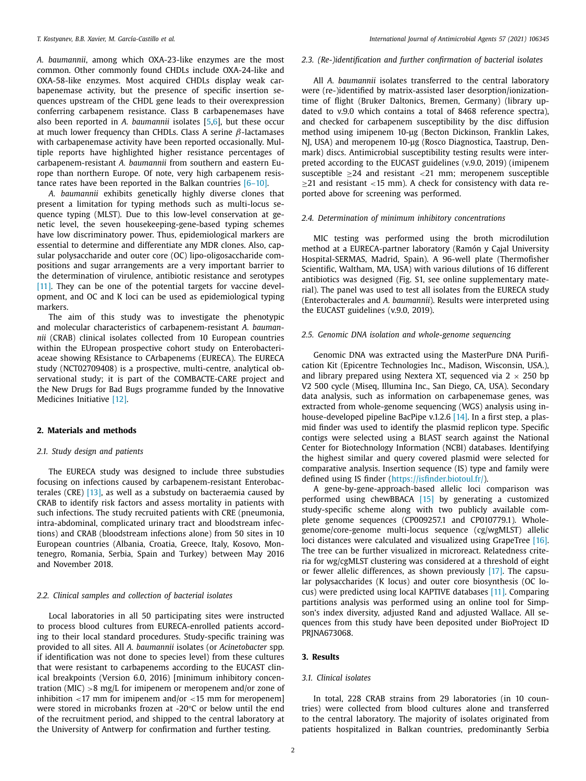*A. baumannii*, among which OXA-23-like enzymes are the most common. Other commonly found CHDLs include OXA-24-like and OXA-58-like enzymes. Most acquired CHDLs display weak carbapenemase activity, but the presence of specific insertion sequences upstream of the CHDL gene leads to their overexpression conferring carbapenem resistance. Class B carbapenemases have also been reported in *A. baumannii* isolates [\[5,6\]](#page-4-0), but these occur at much lower frequency than CHDLs. Class A serine  $\beta$ -lactamases with carbapenemase activity have been reported occasionally. Multiple reports have highlighted higher resistance percentages of carbapenem-resistant *A. baumannii* from southern and eastern Europe than northern Europe. Of note, very high carbapenem resistance rates have been reported in the Balkan countries [\[6–10\].](#page-4-0)

*A. baumannii* exhibits genetically highly diverse clones that present a limitation for typing methods such as multi-locus sequence typing (MLST). Due to this low-level conservation at genetic level, the seven housekeeping-gene-based typing schemes have low discriminatory power. Thus, epidemiological markers are essential to determine and differentiate any MDR clones. Also, capsular polysaccharide and outer core (OC) lipo-oligosaccharide compositions and sugar arrangements are a very important barrier to the determination of virulence, antibiotic resistance and serotypes [\[11\].](#page-4-0) They can be one of the potential targets for vaccine development, and OC and K loci can be used as epidemiological typing markers.

The aim of this study was to investigate the phenotypic and molecular characteristics of carbapenem-resistant *A. baumannii* (CRAB) clinical isolates collected from 10 European countries within the EUropean prospective cohort study on Enterobacteriaceae showing REsistance to CArbapenems (EURECA). The EURECA study (NCT02709408) is a prospective, multi-centre, analytical observational study; it is part of the COMBACTE-CARE project and the New Drugs for Bad Bugs programme funded by the Innovative Medicines Initiative [\[12\].](#page-4-0)

## **2. Materials and methods**

#### *2.1. Study design and patients*

The EURECA study was designed to include three substudies focusing on infections caused by carbapenem-resistant Enterobacterales (CRE) [\[13\],](#page-4-0) as well as a substudy on bacteraemia caused by CRAB to identify risk factors and assess mortality in patients with such infections. The study recruited patients with CRE (pneumonia, intra-abdominal, complicated urinary tract and bloodstream infections) and CRAB (bloodstream infections alone) from 50 sites in 10 European countries (Albania, Croatia, Greece, Italy, Kosovo, Montenegro, Romania, Serbia, Spain and Turkey) between May 2016 and November 2018.

#### *2.2. Clinical samples and collection of bacterial isolates*

Local laboratories in all 50 participating sites were instructed to process blood cultures from EURECA-enrolled patients according to their local standard procedures. Study-specific training was provided to all sites. All *A. baumannii* isolates (or *Acinetobacter* spp*.* if identification was not done to species level) from these cultures that were resistant to carbapenems according to the EUCAST clinical breakpoints (Version 6.0, 2016) [minimum inhibitory concentration (MIC)  $>8$  mg/L for imipenem or meropenem and/or zone of inhibition  $\langle 17 \rangle$  mm for imipenem and/or  $\langle 15 \rangle$  mm for meropenem] were stored in microbanks frozen at -20°C or below until the end of the recruitment period, and shipped to the central laboratory at the University of Antwerp for confirmation and further testing.

## *2.3. (Re-)identification and further confirmation of bacterial isolates*

All *A. baumannii* isolates transferred to the central laboratory were (re-)identified by matrix-assisted laser desorption/ionizationtime of flight (Bruker Daltonics, Bremen, Germany) (library updated to v.9.0 which contains a total of 8468 reference spectra), and checked for carbapenem susceptibility by the disc diffusion method using imipenem 10-μg (Becton Dickinson, Franklin Lakes, NJ, USA) and meropenem 10-μg (Rosco Diagnostica, Taastrup, Denmark) discs. Antimicrobial susceptibility testing results were interpreted according to the EUCAST guidelines (v.9.0, 2019) (imipenem susceptible  $\geq 24$  and resistant <21 mm; meropenem susceptible  $\geq$ 21 and resistant <15 mm). A check for consistency with data reported above for screening was performed.

#### *2.4. Determination of minimum inhibitory concentrations*

MIC testing was performed using the broth microdilution method at a EURECA-partner laboratory (Ramón y Cajal University Hospital-SERMAS, Madrid, Spain). A 96-well plate (Thermofisher Scientific, Waltham, MA, USA) with various dilutions of 16 different antibiotics was designed (Fig. S1, see online supplementary material). The panel was used to test all isolates from the EURECA study (Enterobacterales and *A. baumannii*). Results were interpreted using the EUCAST guidelines (v.9.0, 2019).

#### *2.5. Genomic DNA isolation and whole-genome sequencing*

Genomic DNA was extracted using the MasterPure DNA Purification Kit (Epicentre Technologies Inc., Madison, Wisconsin, USA.), and library prepared using Nextera XT, sequenced via  $2 \times 250$  bp V2 500 cycle (Miseq, Illumina Inc., San Diego, CA, USA). Secondary data analysis, such as information on carbapenemase genes, was extracted from whole-genome sequencing (WGS) analysis using inhouse-developed pipeline BacPipe v.1.2.6 [\[14\].](#page-5-0) In a first step, a plasmid finder was used to identify the plasmid replicon type. Specific contigs were selected using a BLAST search against the National Center for Biotechnology Information (NCBI) databases. Identifying the highest similar and query covered plasmid were selected for comparative analysis. Insertion sequence (IS) type and family were defined using IS finder [\(https://isfinder.biotoul.fr/\)](https://isfinder.biotoul.fr/).

A gene-by-gene-approach-based allelic loci comparison was performed using chewBBACA [\[15\]](#page-5-0) by generating a customized study-specific scheme along with two publicly available complete genome sequences (CP009257.1 and CP010779.1). Wholegenome/core-genome multi-locus sequence (cg/wgMLST) allelic loci distances were calculated and visualized using GrapeTree [\[16\].](#page-5-0) The tree can be further visualized in microreact. Relatedness criteria for wg/cgMLST clustering was considered at a threshold of eight or fewer allelic differences, as shown previously [\[17\].](#page-5-0) The capsular polysaccharides (K locus) and outer core biosynthesis (OC locus) were predicted using local KAPTIVE databases [\[11\].](#page-4-0) Comparing partitions analysis was performed using an online tool for Simpson's index diversity, adjusted Rand and adjusted Wallace. All sequences from this study have been deposited under BioProject ID PRINA673068.

#### **3. Results**

## *3.1. Clinical isolates*

In total, 228 CRAB strains from 29 laboratories (in 10 countries) were collected from blood cultures alone and transferred to the central laboratory. The majority of isolates originated from patients hospitalized in Balkan countries, predominantly Serbia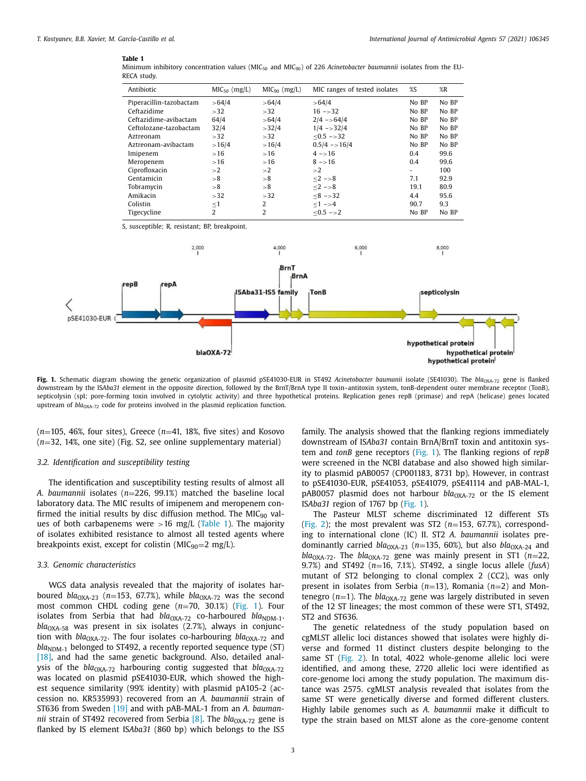#### **Table 1**

| Minimum inhibitory concentration values (MIC <sub>50</sub> and MIC <sub>90</sub> ) of 226 Acinetobacter baumannii isolates from the EU- |  |  |  |  |  |
|-----------------------------------------------------------------------------------------------------------------------------------------|--|--|--|--|--|
| RECA study.                                                                                                                             |  |  |  |  |  |

<span id="page-2-0"></span>

| Antibiotic                     |                         |                                                   | $MIC90$ (mg/L)                 | MIC ranges of tested isolates | $\%S$  | %R                                                               |  |
|--------------------------------|-------------------------|---------------------------------------------------|--------------------------------|-------------------------------|--------|------------------------------------------------------------------|--|
|                                | Piperacillin-tazobactam |                                                   | >64/4                          | >64/4                         | No BP  | No BP                                                            |  |
| Ceftazidime                    |                         |                                                   | >32                            | $16 - > 32$                   | No BP  | No BP                                                            |  |
| Ceftazidime-avibactam          |                         | 64/4                                              | >64/4                          | $2/4 - 64/4$                  | No BP  | No BP                                                            |  |
|                                | Ceftolozane-tazobactam  |                                                   | >32/4                          | $1/4 - 32/4$                  | No BP  | No BP                                                            |  |
| Aztreonam                      |                         |                                                   | >32                            | $< 0.5 - > 32$                | No BP  | No BP                                                            |  |
|                                | Aztreonam-avibactam     |                                                   | >16/4                          | $0.5/4 - 16/4$                | No BP  | No BP                                                            |  |
| Imipenem                       |                         | >16                                               | >16                            | $4 - > 16$                    | 0.4    | 99.6                                                             |  |
| Meropenem                      |                         | $>16$                                             | >16                            | $8 - > 16$                    | 0.4    | 99.6                                                             |  |
| Ciprofloxacin                  |                         |                                                   | >2                             | >2                            | $\sim$ | 100                                                              |  |
| Gentamicin                     |                         | > 8                                               | > 8                            | $<2 - > 8$                    | 7.1    | 92.9                                                             |  |
| Tobramycin                     |                         | > 8                                               | $\leq$ 2 $\Rightarrow$ 8<br>>8 |                               | 19.1   | 80.9                                                             |  |
| Amikacin                       |                         | >32                                               | >32                            | $<8 - > 32$                   | 4.4    | 95.6                                                             |  |
| Colistin                       |                         | $\leq$ 1                                          | 2                              | $\leq 1$ $\Rightarrow$ 4      | 90.7   | 9.3                                                              |  |
| Tigecycline                    |                         | $\overline{2}$                                    | $\overline{2}$                 | $\leq 0.5$ ->2                | No BP  | No BP                                                            |  |
|                                | 2,000                   |                                                   | 4,000                          | 6,000                         |        | 8,000                                                            |  |
| repB<br>repA<br>pSE41030-EUR < |                         | BrnT<br>BrnA<br><b>ISAba31-IS5 family</b><br>TonB |                                |                               |        | septicolysin                                                     |  |
|                                |                         | blaOXA-72                                         |                                |                               |        | hypothetical protein<br>hypothetical pro<br>hypothetical protein |  |

**Fig.** 1. Schematic diagram showing the genetic organization of plasmid pSE41030-EUR in ST492 *Acinetobacter baumanii* isolate (SE41030). The *bla*<sub>0XA-72</sub> gene is flanked downstream by the ISAba31 element in the opposite direction, followed by the BrnT/BrnA type II toxin-antitoxin system, tonB-dependent outer membrane receptor (TonB), septicolysin (spl; pore-forming toxin involved in cytolytic activity) and three hypothetical proteins. Replication genes repB (primase) and repA (helicase) genes located upstream of *bla*<sub>OXA-72</sub> code for proteins involved in the plasmid replication function.

 $(n=105, 46\%$ , four sites), Greece  $(n=41, 18\%$ , five sites) and Kosovo (*n*=32, 14%, one site) (Fig. S2, see online supplementary material)

#### *3.2. Identification and susceptibility testing*

The identification and susceptibility testing results of almost all *A. baumannii* isolates (*n*=226, 99.1%) matched the baseline local laboratory data. The MIC results of imipenem and meropenem confirmed the initial results by disc diffusion method. The MIC $_{90}$  values of both carbapenems were  $>16$  mg/L (Table 1). The majority of isolates exhibited resistance to almost all tested agents where breakpoints exist, except for colistin ( $MIC_{90}=2$  mg/L).

## *3.3. Genomic characteristics*

WGS data analysis revealed that the majority of isolates harboured *bla*<sub>OXA-23</sub> ( $n=153$ , 67.7%), while *bla*<sub>OXA-72</sub> was the second most common CHDL coding gene (*n*=70, 30.1%) (Fig. 1). Four isolates from Serbia that had  $bla_{\text{OXA-72}}$  co-harboured  $bla_{\text{NDM-1}}$ . *bla*<sub>OXA-58</sub> was present in six isolates (2.7%), always in conjunction with *bla*<sub>OXA-72</sub>. The four isolates co-harbouring *bla*<sub>OXA-72</sub> and  $bla<sub>NDM-1</sub>$  belonged to ST492, a recently reported sequence type (ST) [\[18\],](#page-5-0) and had the same genetic background. Also, detailed analysis of the  $bla_{\text{OXA-72}}$  harbouring contig suggested that  $bla_{\text{OXA-72}}$ was located on plasmid pSE41030-EUR, which showed the highest sequence similarity (99% identity) with plasmid pA105-2 (accession no. KR535993) recovered from an *A. baumannii* strain of ST636 from Sweden [\[19\]](#page-5-0) and with pAB-MAL-1 from an *A. baumannii* strain of ST492 recovered from Serbia  $[8]$ . The *bla*<sub>OXA-72</sub> gene is flanked by IS element IS*Aba31* (860 bp) which belongs to the IS*5*

family. The analysis showed that the flanking regions immediately downstream of IS*Aba31* contain BrnA/BrnT toxin and antitoxin system and *tonB* gene receptors (Fig. 1). The flanking regions of *repB* were screened in the NCBI database and also showed high similarity to plasmid pAB0057 (CP001183, 8731 bp). However, in contrast to pSE41030-EUR, pSE41053, pSE41079, pSE41114 and pAB-MAL-1, pAB0057 plasmid does not harbour *bla*<sub>OXA-72</sub> or the IS element IS*Aba31* region of 1767 bp (Fig. 1).

The Pasteur MLST scheme discriminated 12 different STs [\(Fig.](#page-3-0) 2); the most prevalent was ST2 (*n*=153, 67.7%), corresponding to international clone (IC) II. ST2 *A. baumannii* isolates predominantly carried  $bla_{OXA-23}$  ( $n=135$ , 60%), but also  $bla_{OXA-24}$  and  $bla<sub>OXA-72</sub>$ . The  $bla<sub>OXA-72</sub>$  gene was mainly present in ST1 (*n*=22, 9.7%) and ST492 (*n*=16, 7.1%). ST492, a single locus allele (*fusA*) mutant of ST2 belonging to clonal complex 2 (CC2), was only present in isolates from Serbia (*n*=13), Romania (*n*=2) and Montenegro ( $n=1$ ). The  $bla<sub>OXA-72</sub>$  gene was largely distributed in seven of the 12 ST lineages; the most common of these were ST1, ST492, ST2 and ST636.

The genetic relatedness of the study population based on cgMLST allelic loci distances showed that isolates were highly diverse and formed 11 distinct clusters despite belonging to the same ST [\(Fig.](#page-3-0) 2). In total, 4022 whole-genome allelic loci were identified, and among these, 2720 allelic loci were identified as core-genome loci among the study population. The maximum distance was 2575. cgMLST analysis revealed that isolates from the same ST were genetically diverse and formed different clusters. Highly labile genomes such as *A. baumannii* make it difficult to type the strain based on MLST alone as the core-genome content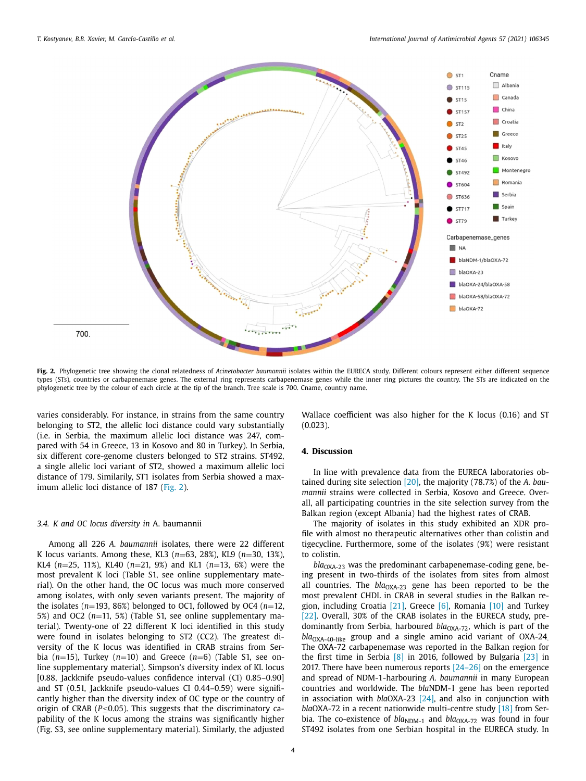<span id="page-3-0"></span>

**Fig. 2.** Phylogenetic tree showing the clonal relatedness of *Acinetobacter baumannii* isolates within the EURECA study. Different colours represent either different sequence types (STs), countries or carbapenemase genes. The external ring represents carbapenemase genes while the inner ring pictures the country. The STs are indicated on the phylogenetic tree by the colour of each circle at the tip of the branch. Tree scale is 700. Cname, country name.

varies considerably. For instance, in strains from the same country belonging to ST2, the allelic loci distance could vary substantially (i.e. in Serbia, the maximum allelic loci distance was 247, compared with 54 in Greece, 13 in Kosovo and 80 in Turkey). In Serbia, six different core-genome clusters belonged to ST2 strains. ST492, a single allelic loci variant of ST2, showed a maximum allelic loci distance of 179. Similarily, ST1 isolates from Serbia showed a maximum allelic loci distance of 187 (Fig. 2).

## *3.4. K and OC locus diversity in* A. baumannii

Among all 226 *A. baumannii* isolates, there were 22 different K locus variants. Among these, KL3 (*n*=63, 28%), KL9 (*n*=30, 13%), KL4 (*n*=25, 11%), KL40 (*n*=21, 9%) and KL1 (*n*=13, 6%) were the most prevalent K loci (Table S1, see online supplementary material). On the other hand, the OC locus was much more conserved among isolates, with only seven variants present. The majority of the isolates ( $n=193$ , 86%) belonged to OC1, followed by OC4 ( $n=12$ , 5%) and OC2 (*n*=11, 5%) (Table S1, see online supplementary material). Twenty-one of 22 different K loci identified in this study were found in isolates belonging to ST2 (CC2). The greatest diversity of the K locus was identified in CRAB strains from Serbia (*n*=15), Turkey (*n*=10) and Greece (*n*=6) (Table S1, see online supplementary material). Simpson's diversity index of KL locus [0.88, Jackknife pseudo-values confidence interval (CI) 0.85–0.90] and ST (0.51, Jackknife pseudo-values CI 0.44–0.59) were significantly higher than the diversity index of OC type or the country of origin of CRAB (*P*≤0.05). This suggests that the discriminatory capability of the K locus among the strains was significantly higher (Fig. S3, see online supplementary material). Similarly, the adjusted

Wallace coefficient was also higher for the K locus (0.16) and ST  $(0.023)$ 

#### **4. Discussion**

In line with prevalence data from the EURECA laboratories obtained during site selection [\[20\],](#page-5-0) the majority (78.7%) of the *A. baumannii* strains were collected in Serbia, Kosovo and Greece. Overall, all participating countries in the site selection survey from the Balkan region (except Albania) had the highest rates of CRAB.

The majority of isolates in this study exhibited an XDR profile with almost no therapeutic alternatives other than colistin and tigecycline. Furthermore, some of the isolates (9%) were resistant to colistin.

*bla*<sub>OXA-23</sub> was the predominant carbapenemase-coding gene, being present in two-thirds of the isolates from sites from almost all countries. The *bla*<sub>OXA-23</sub> gene has been reported to be the most prevalent CHDL in CRAB in several studies in the Balkan region, including Croatia [\[21\],](#page-5-0) Greece [\[6\],](#page-4-0) Romania [\[10\]](#page-4-0) and Turkey [\[22\].](#page-5-0) Overall, 30% of the CRAB isolates in the EURECA study, predominantly from Serbia, harboured *bla*<sub>OXA-72</sub>, which is part of the  $bla<sub>OXA-40-like</sub>$  group and a single amino acid variant of  $OXA-24$ . The OXA-72 carbapenemase was reported in the Balkan region for the first time in Serbia [\[8\]](#page-4-0) in 2016, followed by Bulgaria [\[23\]](#page-5-0) in 2017. There have been numerous reports  $[24-26]$  on the emergence and spread of NDM-1-harbouring *A. baumannii* in many European countries and worldwide. The *bla*NDM-1 gene has been reported in association with *bla*OXA-23 [\[24\],](#page-5-0) and also in conjunction with *bla*OXA-72 in a recent nationwide multi-centre study [\[18\]](#page-5-0) from Serbia. The co-existence of *bla*<sub>NDM-1</sub> and *bla*<sub>OXA-72</sub> was found in four ST492 isolates from one Serbian hospital in the EURECA study. In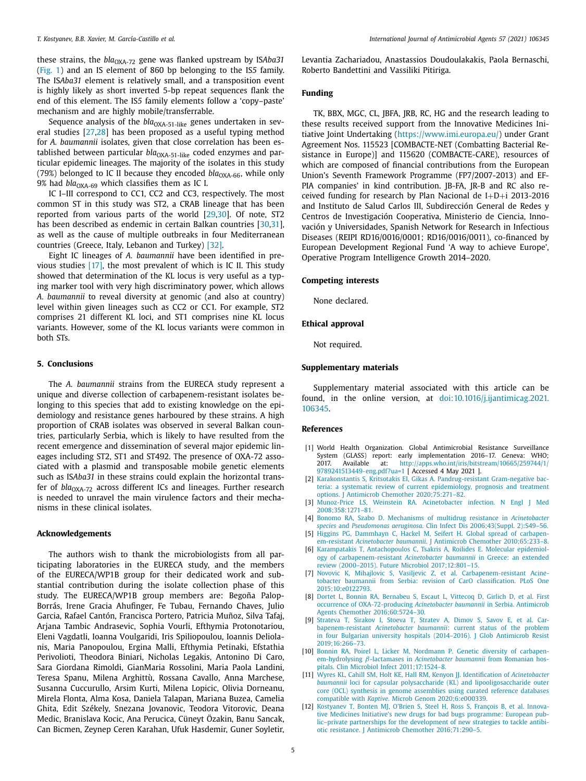<span id="page-4-0"></span>these strains, the *bla*<sub>OXA-72</sub> gene was flanked upstream by ISAba31 [\(Fig.](#page-2-0) 1) and an IS element of 860 bp belonging to the IS*5* family. The IS*Aba31* element is relatively small, and a transposition event is highly likely as short inverted 5-bp repeat sequences flank the end of this element. The IS*5* family elements follow a 'copy–paste' mechanism and are highly mobile/transferrable.

Sequence analysis of the *bla*<sub>OXA-51-like</sub> genes undertaken in several studies [\[27,28\]](#page-5-0) has been proposed as a useful typing method for *A. baumannii* isolates, given that close correlation has been established between particular  $bla<sub>OXA-51-like</sub>$  coded enzymes and particular epidemic lineages. The majority of the isolates in this study (79%) belonged to IC II because they encoded  $bla<sub>OXA-66</sub>$ , while only 9% had  $bla_{\text{OXA-69}}$  which classifies them as IC I.

IC I–III correspond to CC1, CC2 and CC3, respectively. The most common ST in this study was ST2, a CRAB lineage that has been reported from various parts of the world [\[29,30\]](#page-5-0). Of note, ST2 has been described as endemic in certain Balkan countries [\[30,31\]](#page-5-0), as well as the cause of multiple outbreaks in four Mediterranean countries (Greece, Italy, Lebanon and Turkey) [\[32\].](#page-5-0)

Eight IC lineages of *A. baumannii* have been identified in previous studies [\[17\],](#page-5-0) the most prevalent of which is IC II. This study showed that determination of the KL locus is very useful as a typing marker tool with very high discriminatory power, which allows *A. baumannii* to reveal diversity at genomic (and also at country) level within given lineages such as CC2 or CC1. For example, ST2 comprises 21 different KL loci, and ST1 comprises nine KL locus variants. However, some of the KL locus variants were common in both STs.

#### **5. Conclusions**

The *A. baumannii* strains from the EURECA study represent a unique and diverse collection of carbapenem-resistant isolates belonging to this species that add to existing knowledge on the epidemiology and resistance genes harboured by these strains. A high proportion of CRAB isolates was observed in several Balkan countries, particularly Serbia, which is likely to have resulted from the recent emergence and dissemination of several major epidemic lineages including ST2, ST1 and ST492. The presence of OXA-72 associated with a plasmid and transposable mobile genetic elements such as IS*Aba31* in these strains could explain the horizontal transfer of *bla*<sub>OXA-72</sub> across different ICs and lineages. Further research is needed to unravel the main virulence factors and their mechanisms in these clinical isolates.

#### **Acknowledgements**

The authors wish to thank the microbiologists from all participating laboratories in the EURECA study, and the members of the EURECA/WP1B group for their dedicated work and substantial contribution during the isolate collection phase of this study. The EURECA/WP1B group members are: Begoña Palop-Borrás, Irene Gracia Ahufinger, Fe Tubau, Fernando Chaves, Julio Garcia, Rafael Cantón, Francisca Portero, Patricia Muñoz, Silva Tafaj, Arjana Tambic Andrasevic, Sophia Vourli, Efthymia Protonotariou, Eleni Vagdatli, Ioanna Voulgaridi, Iris Spiliopoulou, Ioannis Deliolanis, Maria Panopoulou, Ergina Malli, Efthymia Petinaki, Efstathia Perivolioti, Theodora Biniari, Nicholas Legakis, Antonino Di Caro, Sara Giordana Rimoldi, GianMaria Rossolini, Maria Paola Landini, Teresa Spanu, Milena Arghittù, Rossana Cavallo, Anna Marchese, Susanna Cuccurullo, Arsim Kurti, Milena Lopicic, Olivia Dorneanu, Mirela Flonta, Alma Kosa, Daniela Talapan, Mariana Buzea, Camelia Ghita, Edit Székely, Snezana Jovanovic, Teodora Vitorovic, Deana Medic, Branislava Kocic, Ana Perucica, Cüneyt Özakin, Banu Sancak, Can Bicmen, Zeynep Ceren Karahan, Ufuk Hasdemir, Guner Soyletir, Levantia Zachariadou, Anastassios Doudoulakakis, Paola Bernaschi, Roberto Bandettini and Vassiliki Pitiriga.

## **Funding**

TK, BBX, MGC, CL, JBFA, JRB, RC, HG and the research leading to these results received support from the Innovative Medicines Initiative Joint Undertaking [\(https://www.imi.europa.eu/\)](https://www.imi.europa.eu/) under Grant Agreement Nos. 115523 [COMBACTE-NET (Combatting Bacterial Resistance in Europe)] and 115620 (COMBACTE-CARE), resources of which are composed of financial contributions from the European Union's Seventh Framework Programme (FP7/2007-2013) and EF-PIA companies' in kind contribution. JB-FA, JR-B and RC also received funding for research by Plan Nacional de I+D+i 2013-2016 and Instituto de Salud Carlos III, Subdirección General de Redes y Centros de Investigación Cooperativa, Ministerio de Ciencia, Innovación y Universidades, Spanish Network for Research in Infectious Diseases (REIPI RD16/0016/0001; RD16/0016/0011), co-financed by European Development Regional Fund 'A way to achieve Europe', Operative Program Intelligence Growth 2014–2020.

#### **Competing interests**

None declared.

#### **Ethical approval**

Not required.

## **Supplementary materials**

Supplementary material associated with this article can be found, in the online version, at [doi:10.1016/j.ijantimicag.2021.](https://doi.org/10.1016/j.ijantimicag.2021.106345) 106345.

#### **References**

- [1] World Health Organization. Global Antimicrobial Resistance Surveillance System (GLASS) report: early implementation 2016-17. Geneva: WHO;<br>2017. Available at: http://apps.who.int/iris/bitstream/10665/259744/1/ [http://apps.who.int/iris/bitstream/10665/259744/1/](http://apps.who.int/iris/bitstream/10665/259744/1/9789241513449-eng.pdf?ua=1) 9789241513449-eng.pdf?ua=1 [ Accessed 4 May 2021 ].
- [2] [Karakonstantis](http://refhub.elsevier.com/S0924-8579(21)00087-X/sbref0002) S, [Kritsotakis](http://refhub.elsevier.com/S0924-8579(21)00087-X/sbref0002) EI, [Gikas](http://refhub.elsevier.com/S0924-8579(21)00087-X/sbref0002) A. [Pandrug-resistant](http://refhub.elsevier.com/S0924-8579(21)00087-X/sbref0002) Gram-negative bacteria: a systematic review of current epidemiology, prognosis and treatment options. J Antimicrob Chemother 2020;75:271–82.
- [3] [Munoz-Price](http://refhub.elsevier.com/S0924-8579(21)00087-X/sbref0003) LS, [Weinstein](http://refhub.elsevier.com/S0924-8579(21)00087-X/sbref0003) RA. Acinetobacter infection. N Engl J Med [2008;358:1271–81.](http://refhub.elsevier.com/S0924-8579(21)00087-X/sbref0003)
- [4] [Bonomo](http://refhub.elsevier.com/S0924-8579(21)00087-X/sbref0004) RA, [Szabo](http://refhub.elsevier.com/S0924-8579(21)00087-X/sbref0004) D. Mechanisms of multidrug resistance in *Acinetobacter species* and *Pseudomonas aeruginosa*. Clin Infect Dis [2006;43\(Suppl.](http://refhub.elsevier.com/S0924-8579(21)00087-X/sbref0004) 2):S49–56.
- [5] [Higgins](http://refhub.elsevier.com/S0924-8579(21)00087-X/sbref0005) PG, [Dammhayn](http://refhub.elsevier.com/S0924-8579(21)00087-X/sbref0005) C, [Hackel](http://refhub.elsevier.com/S0924-8579(21)00087-X/sbref0005) M, [Seifert](http://refhub.elsevier.com/S0924-8579(21)00087-X/sbref0005) H. Global spread of carbapenem-resistant *Acinetobacter baumannii*. J Antimicrob Chemother [2010;65:233–8.](http://refhub.elsevier.com/S0924-8579(21)00087-X/sbref0005)
- [Karampatakis](http://refhub.elsevier.com/S0924-8579(21)00087-X/sbref0006) T, [Antachopoulos](http://refhub.elsevier.com/S0924-8579(21)00087-X/sbref0006) C, [Tsakris](http://refhub.elsevier.com/S0924-8579(21)00087-X/sbref0006) A, [Roilides](http://refhub.elsevier.com/S0924-8579(21)00087-X/sbref0006) E. Molecular epidemiology of [carbapenem-resistant](http://refhub.elsevier.com/S0924-8579(21)00087-X/sbref0006) *Acinetobacter baumannii* in Greece: an extended review (2000–2015). Future Microbiol 2017;12:801–15.
- [7] [Novovic](http://refhub.elsevier.com/S0924-8579(21)00087-X/bib0007b) K, [Mihajlovic](http://refhub.elsevier.com/S0924-8579(21)00087-X/bib0007b) S, [Vasiljevic](http://refhub.elsevier.com/S0924-8579(21)00087-X/bib0007b) Z, et [al.](http://refhub.elsevier.com/S0924-8579(21)00087-X/bib0007b) [Carbapenem-resistant](http://refhub.elsevier.com/S0924-8579(21)00087-X/bib0007b) Acinetobacter baumannii from Serbia: revision of CarO classification. PLoS One 2015;10:e0122793.
- [8] [Dortet](http://refhub.elsevier.com/S0924-8579(21)00087-X/sbref0009) L, [Bonnin](http://refhub.elsevier.com/S0924-8579(21)00087-X/sbref0009) RA, [Bernabeu](http://refhub.elsevier.com/S0924-8579(21)00087-X/sbref0009) S, [Escaut](http://refhub.elsevier.com/S0924-8579(21)00087-X/sbref0009) L, [Vittecoq](http://refhub.elsevier.com/S0924-8579(21)00087-X/sbref0009) D, [Girlich](http://refhub.elsevier.com/S0924-8579(21)00087-X/sbref0009) D, et [al.](http://refhub.elsevier.com/S0924-8579(21)00087-X/sbref0009) First occurrence of [OXA-72-producing](http://refhub.elsevier.com/S0924-8579(21)00087-X/sbref0009) *Acinetobacter baumannii* in Serbia. Antimicrob Agents Chemother 2016;60:5724–30.
- [9] [Strateva](http://refhub.elsevier.com/S0924-8579(21)00087-X/sbref0010) T, [Sirakov](http://refhub.elsevier.com/S0924-8579(21)00087-X/sbref0010) I, [Stoeva](http://refhub.elsevier.com/S0924-8579(21)00087-X/sbref0010) T, [Stratev](http://refhub.elsevier.com/S0924-8579(21)00087-X/sbref0010) A, [Dimov S,](http://refhub.elsevier.com/S0924-8579(21)00087-X/sbref0010) [Savov E,](http://refhub.elsevier.com/S0924-8579(21)00087-X/sbref0010) [et al.](http://refhub.elsevier.com/S0924-8579(21)00087-X/sbref0010) Car[bapenem-resistant](http://refhub.elsevier.com/S0924-8579(21)00087-X/sbref0010) *Acinetobacter baumannii*: current status of the problem in four Bulgarian university hospitals (2014–2016). J Glob Antimicrob Resist 2019;16:266–73.
- [10] [Bonnin](http://refhub.elsevier.com/S0924-8579(21)00087-X/sbref0011) RA, [Poirel](http://refhub.elsevier.com/S0924-8579(21)00087-X/sbref0011) L, [Licker](http://refhub.elsevier.com/S0924-8579(21)00087-X/sbref0011) M, [Nordmann](http://refhub.elsevier.com/S0924-8579(21)00087-X/sbref0011) P. Genetic diversity of carbapenem-hydrolysing β-lactamases in *Acinetobacter baumannii* from Romanian hospitals. Clin Microbiol Infect [2011;17:1524–8.](http://refhub.elsevier.com/S0924-8579(21)00087-X/sbref0011)
- [11] [Wyres](http://refhub.elsevier.com/S0924-8579(21)00087-X/sbref0012) KL, [Cahill](http://refhub.elsevier.com/S0924-8579(21)00087-X/sbref0012) SM, [Holt](http://refhub.elsevier.com/S0924-8579(21)00087-X/sbref0012) KE, [Hall](http://refhub.elsevier.com/S0924-8579(21)00087-X/sbref0012) RM, [Kenyon](http://refhub.elsevier.com/S0924-8579(21)00087-X/sbref0012) JJ. Identification of *Acinetobacter baumannii* loci for capsular polysaccharide (KL) and [lipooligosaccharide](http://refhub.elsevier.com/S0924-8579(21)00087-X/sbref0012) outer core (OCL) synthesis in genome assemblies using curated reference databases compatible with *Kaptive*. Microb Genom 2020;6:e000339.
- [12] [Kostyanev](http://refhub.elsevier.com/S0924-8579(21)00087-X/sbref0013) T, [Bonten](http://refhub.elsevier.com/S0924-8579(21)00087-X/sbref0013) MJ, [O'Brien](http://refhub.elsevier.com/S0924-8579(21)00087-X/sbref0013) S, [Steel](http://refhub.elsevier.com/S0924-8579(21)00087-X/sbref0013) H, [Ross](http://refhub.elsevier.com/S0924-8579(21)00087-X/sbref0013) S, [François](http://refhub.elsevier.com/S0924-8579(21)00087-X/sbref0013) B, et [al.](http://refhub.elsevier.com/S0924-8579(21)00087-X/sbref0013) Innovative Medicines Initiative's new drugs for bad bugs programme: European public–private partnerships for the development of new strategies to tackle antibiotic resistance. J Antimicrob Chemother [2016;71:290–5.](http://refhub.elsevier.com/S0924-8579(21)00087-X/sbref0013)